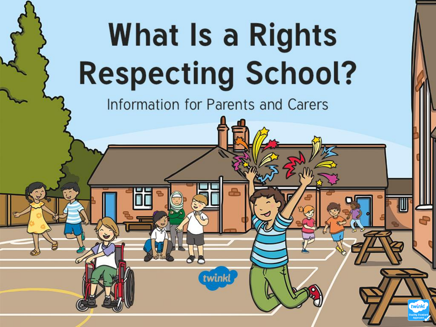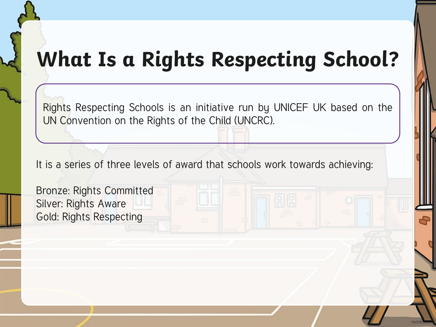## **What Is a Rights Respecting School?**

Rights Respecting Schools is an initiative run by UNICEF UK based on the UN Convention on the Rights of the Child (UNCRC).

It is a series of three levels of award that schools work towards achieving:

Bronze: Rights Committed Silver: Rights Aware Gold: Rights Respecting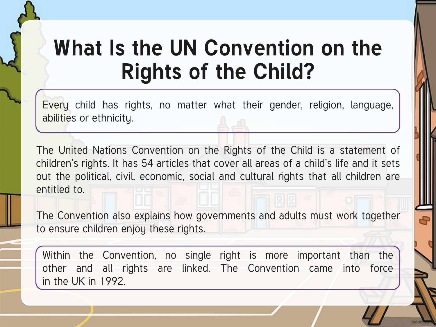## What Is the UN Convention on the **Rights of the Child?**

Every child has rights, no matter what their gender, religion, language, abilities or ethnicity.

The United Nations Convention on the Rights of the Child is a statement of children's rights. It has 54 articles that cover all areas of a child's life and it sets out the political, civil, economic, social and cultural rights that all children are entitled to.

The Convention also explains how governments and adults must work together to ensure children enjoy these rights.

Within the Convention, no single right is more important than the other and all rights are linked. The Convention came into force in the UK in 1992.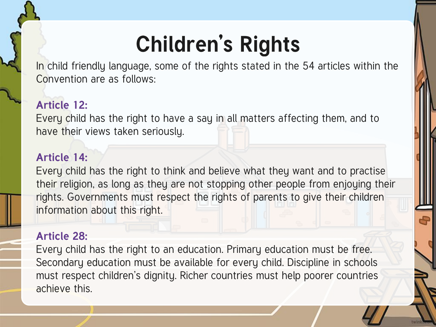# **Children's Rights**

In child friendly language, some of the rights stated in the 54 articles within the Convention are as follows:

### **Article 12:**

Every child has the right to have a say in all matters affecting them, and to have their views taken seriously.

#### **Article 14:**

Every child has the right to think and believe what they want and to practise their religion, as long as they are not stopping other people from enjoying their rights. Governments must respect the rights of parents to give their children information about this right.

### **Article 28:**

Every child has the right to an education. Primary education must be free. Secondary education must be available for every child. Discipline in schools must respect children's dignity. Richer countries must help poorer countries achieve this.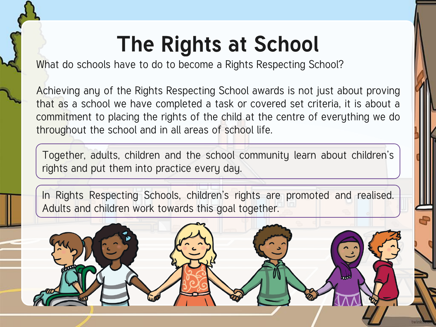## **The Rights at School**

What do schools have to do to become a Rights Respecting School?

Achieving any of the Rights Respecting School awards is not just about proving that as a school we have completed a task or covered set criteria, it is about a commitment to placing the rights of the child at the centre of everything we do throughout the school and in all areas of school life.

Together, adults, children and the school community learn about children's rights and put them into practice every day.

In Rights Respecting Schools, children's rights are promoted and realised. Adults and children work towards this goal together.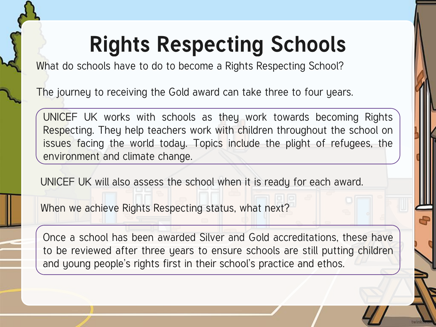# **Rights Respecting Schools**

What do schools have to do to become a Rights Respecting School?

The journey to receiving the Gold award can take three to four years.

UNICEF UK works with schools as they work towards becoming Rights Respecting. They help teachers work with children throughout the school on issues facing the world today. Topics include the plight of refugees, the environment and climate change.

UNICEF UK will also assess the school when it is ready for each award.

When we achieve Rights Respecting status, what next?

Once a school has been awarded Silver and Gold accreditations, these have to be reviewed after three years to ensure schools are still putting children and young people's rights first in their school's practice and ethos.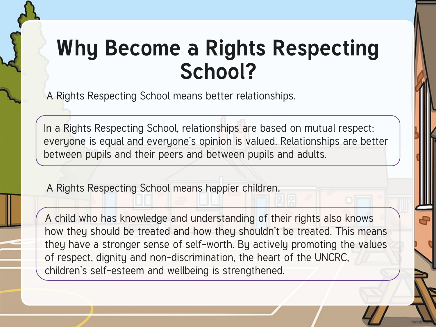A Rights Respecting School means better relationships.

In a Rights Respecting School, relationships are based on mutual respect; everyone is equal and everyone's opinion is valued. Relationships are better between pupils and their peers and between pupils and adults.

A Rights Respecting School means happier children.

A child who has knowledge and understanding of their rights also knows how they should be treated and how they shouldn't be treated. This means they have a stronger sense of self-worth. By actively promoting the values of respect, dignity and non-discrimination, the heart of the UNCRC, children's self-esteem and wellbeing is strengthened.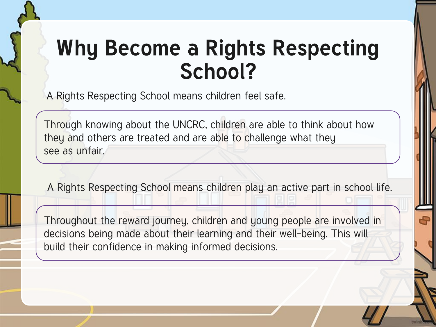A Rights Respecting School means children feel safe.

Through knowing about the UNCRC, children are able to think about how they and others are treated and are able to challenge what they see as unfair.

A Rights Respecting School means children play an active part in school life.

Throughout the reward journey, children and young people are involved in decisions being made about their learning and their well-being. This will build their confidence in making informed decisions.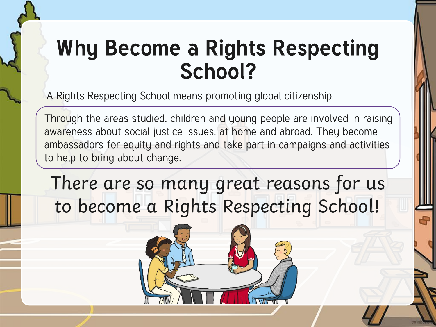A Rights Respecting School means promoting global citizenship.

Through the areas studied, children and young people are involved in raising awareness about social justice issues, at home and abroad. They become ambassadors for equity and rights and take part in campaigns and activities to help to bring about change.

There are so many great reasons for us to become a Rights Respecting School!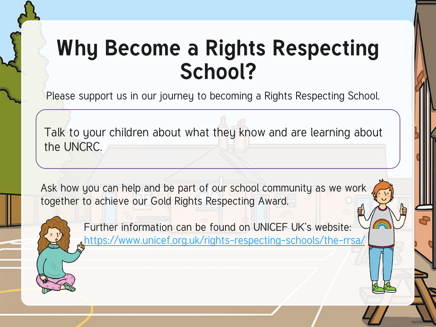Please support us in our journey to becoming a Rights Respecting School.

Talk to your children about what they know and are learning about the UNCRC.

Ask how you can help and be part of our school community as we work together to achieve our Gold Rights Respecting Award.



Further information can be found on UNICEF UK's website: <https://www.unicef.org.uk/rights-respecting-schools/the-rrsa/>